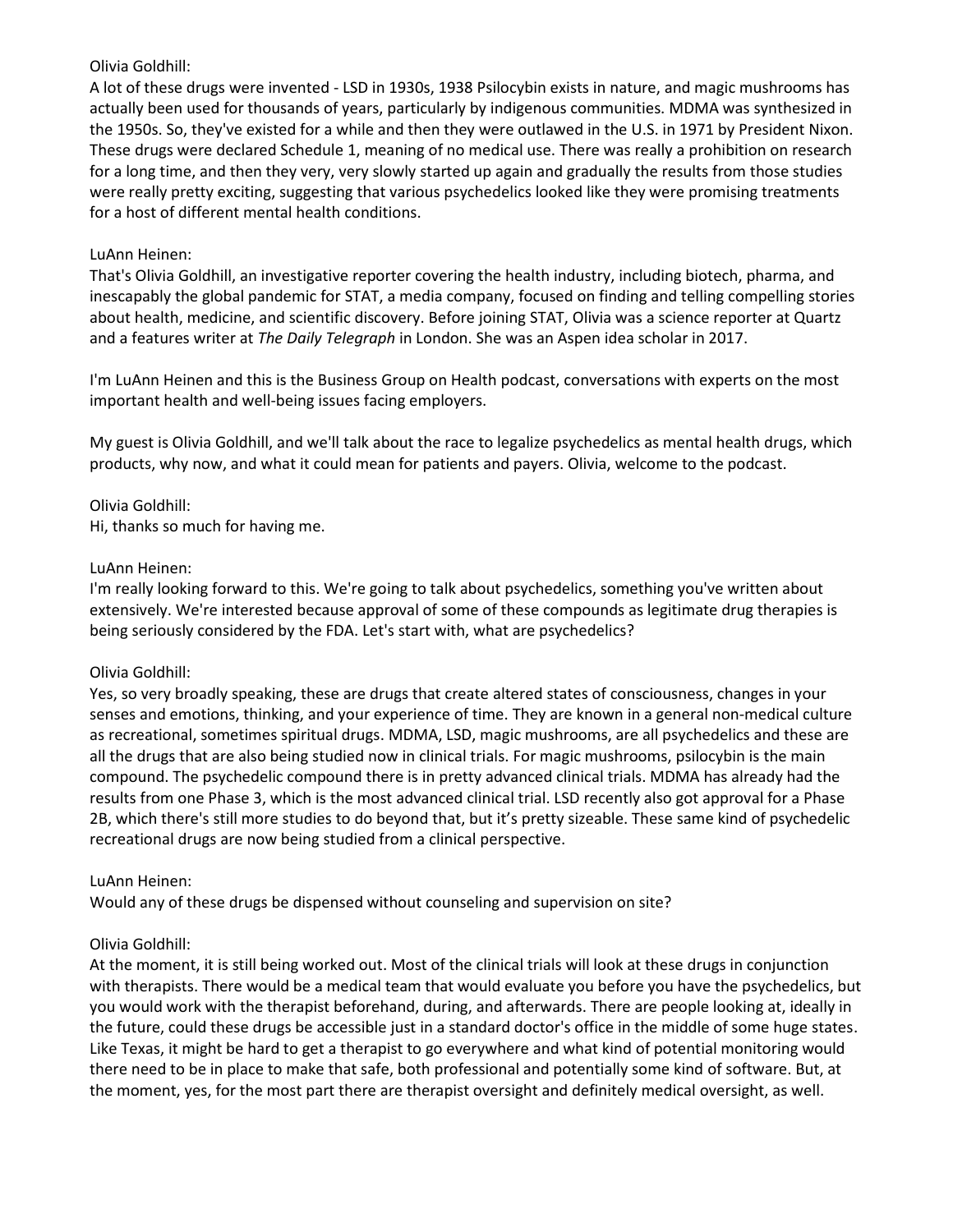# Olivia Goldhill:

A lot of these drugs were invented - LSD in 1930s, 1938 Psilocybin exists in nature, and magic mushrooms has actually been used for thousands of years, particularly by indigenous communities. MDMA was synthesized in the 1950s. So, they've existed for a while and then they were outlawed in the U.S. in 1971 by President Nixon. These drugs were declared Schedule 1, meaning of no medical use. There was really a prohibition on research for a long time, and then they very, very slowly started up again and gradually the results from those studies were really pretty exciting, suggesting that various psychedelics looked like they were promising treatments for a host of different mental health conditions.

# LuAnn Heinen:

That's Olivia Goldhill, an investigative reporter covering the health industry, including biotech, pharma, and inescapably the global pandemic for STAT, a media company, focused on finding and telling compelling stories about health, medicine, and scientific discovery. Before joining STAT, Olivia was a science reporter at Quartz and a features writer at *The Daily Telegraph* in London. She was an Aspen idea scholar in 2017.

I'm LuAnn Heinen and this is the Business Group on Health podcast, conversations with experts on the most important health and well-being issues facing employers.

My guest is Olivia Goldhill, and we'll talk about the race to legalize psychedelics as mental health drugs, which products, why now, and what it could mean for patients and payers. Olivia, welcome to the podcast.

### Olivia Goldhill: Hi, thanks so much for having me.

# LuAnn Heinen:

I'm really looking forward to this. We're going to talk about psychedelics, something you've written about extensively. We're interested because approval of some of these compounds as legitimate drug therapies is being seriously considered by the FDA. Let's start with, what are psychedelics?

### Olivia Goldhill:

Yes, so very broadly speaking, these are drugs that create altered states of consciousness, changes in your senses and emotions, thinking, and your experience of time. They are known in a general non-medical culture as recreational, sometimes spiritual drugs. MDMA, LSD, magic mushrooms, are all psychedelics and these are all the drugs that are also being studied now in clinical trials. For magic mushrooms, psilocybin is the main compound. The psychedelic compound there is in pretty advanced clinical trials. MDMA has already had the results from one Phase 3, which is the most advanced clinical trial. LSD recently also got approval for a Phase 2B, which there's still more studies to do beyond that, but it's pretty sizeable. These same kind of psychedelic recreational drugs are now being studied from a clinical perspective.

### LuAnn Heinen:

Would any of these drugs be dispensed without counseling and supervision on site?

### Olivia Goldhill:

At the moment, it is still being worked out. Most of the clinical trials will look at these drugs in conjunction with therapists. There would be a medical team that would evaluate you before you have the psychedelics, but you would work with the therapist beforehand, during, and afterwards. There are people looking at, ideally in the future, could these drugs be accessible just in a standard doctor's office in the middle of some huge states. Like Texas, it might be hard to get a therapist to go everywhere and what kind of potential monitoring would there need to be in place to make that safe, both professional and potentially some kind of software. But, at the moment, yes, for the most part there are therapist oversight and definitely medical oversight, as well.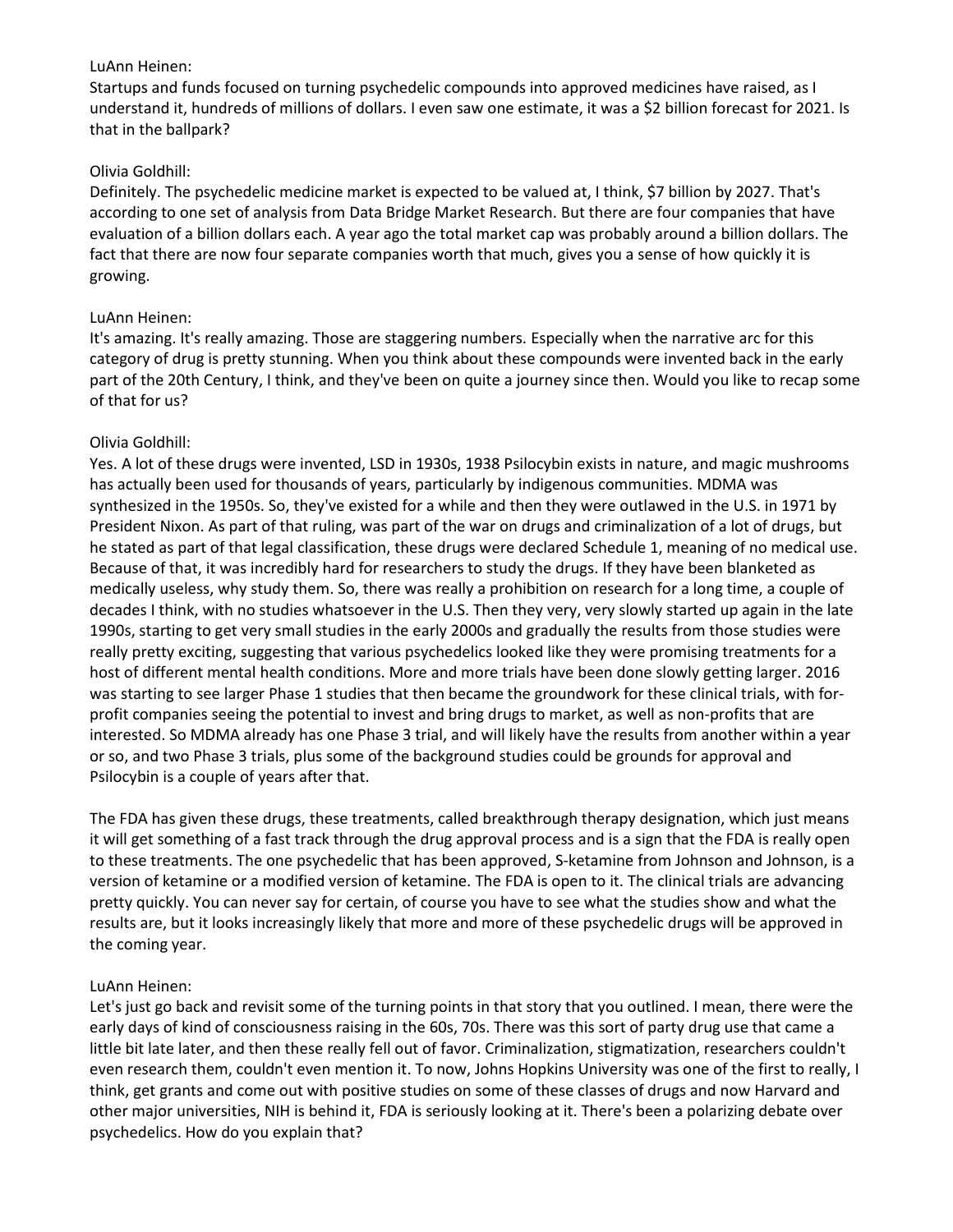### LuAnn Heinen:

Startups and funds focused on turning psychedelic compounds into approved medicines have raised, as I understand it, hundreds of millions of dollars. I even saw one estimate, it was a \$2 billion forecast for 2021. Is that in the ballpark?

# Olivia Goldhill:

Definitely. The psychedelic medicine market is expected to be valued at, I think, \$7 billion by 2027. That's according to one set of analysis from Data Bridge Market Research. But there are four companies that have evaluation of a billion dollars each. A year ago the total market cap was probably around a billion dollars. The fact that there are now four separate companies worth that much, gives you a sense of how quickly it is growing.

# LuAnn Heinen:

It's amazing. It's really amazing. Those are staggering numbers. Especially when the narrative arc for this category of drug is pretty stunning. When you think about these compounds were invented back in the early part of the 20th Century, I think, and they've been on quite a journey since then. Would you like to recap some of that for us?

# Olivia Goldhill:

Yes. A lot of these drugs were invented, LSD in 1930s, 1938 Psilocybin exists in nature, and magic mushrooms has actually been used for thousands of years, particularly by indigenous communities. MDMA was synthesized in the 1950s. So, they've existed for a while and then they were outlawed in the U.S. in 1971 by President Nixon. As part of that ruling, was part of the war on drugs and criminalization of a lot of drugs, but he stated as part of that legal classification, these drugs were declared Schedule 1, meaning of no medical use. Because of that, it was incredibly hard for researchers to study the drugs. If they have been blanketed as medically useless, why study them. So, there was really a prohibition on research for a long time, a couple of decades I think, with no studies whatsoever in the U.S. Then they very, very slowly started up again in the late 1990s, starting to get very small studies in the early 2000s and gradually the results from those studies were really pretty exciting, suggesting that various psychedelics looked like they were promising treatments for a host of different mental health conditions. More and more trials have been done slowly getting larger. 2016 was starting to see larger Phase 1 studies that then became the groundwork for these clinical trials, with forprofit companies seeing the potential to invest and bring drugs to market, as well as non-profits that are interested. So MDMA already has one Phase 3 trial, and will likely have the results from another within a year or so, and two Phase 3 trials, plus some of the background studies could be grounds for approval and Psilocybin is a couple of years after that.

The FDA has given these drugs, these treatments, called breakthrough therapy designation, which just means it will get something of a fast track through the drug approval process and is a sign that the FDA is really open to these treatments. The one psychedelic that has been approved, S-ketamine from Johnson and Johnson, is a version of ketamine or a modified version of ketamine. The FDA is open to it. The clinical trials are advancing pretty quickly. You can never say for certain, of course you have to see what the studies show and what the results are, but it looks increasingly likely that more and more of these psychedelic drugs will be approved in the coming year.

# LuAnn Heinen:

Let's just go back and revisit some of the turning points in that story that you outlined. I mean, there were the early days of kind of consciousness raising in the 60s, 70s. There was this sort of party drug use that came a little bit late later, and then these really fell out of favor. Criminalization, stigmatization, researchers couldn't even research them, couldn't even mention it. To now, Johns Hopkins University was one of the first to really, I think, get grants and come out with positive studies on some of these classes of drugs and now Harvard and other major universities, NIH is behind it, FDA is seriously looking at it. There's been a polarizing debate over psychedelics. How do you explain that?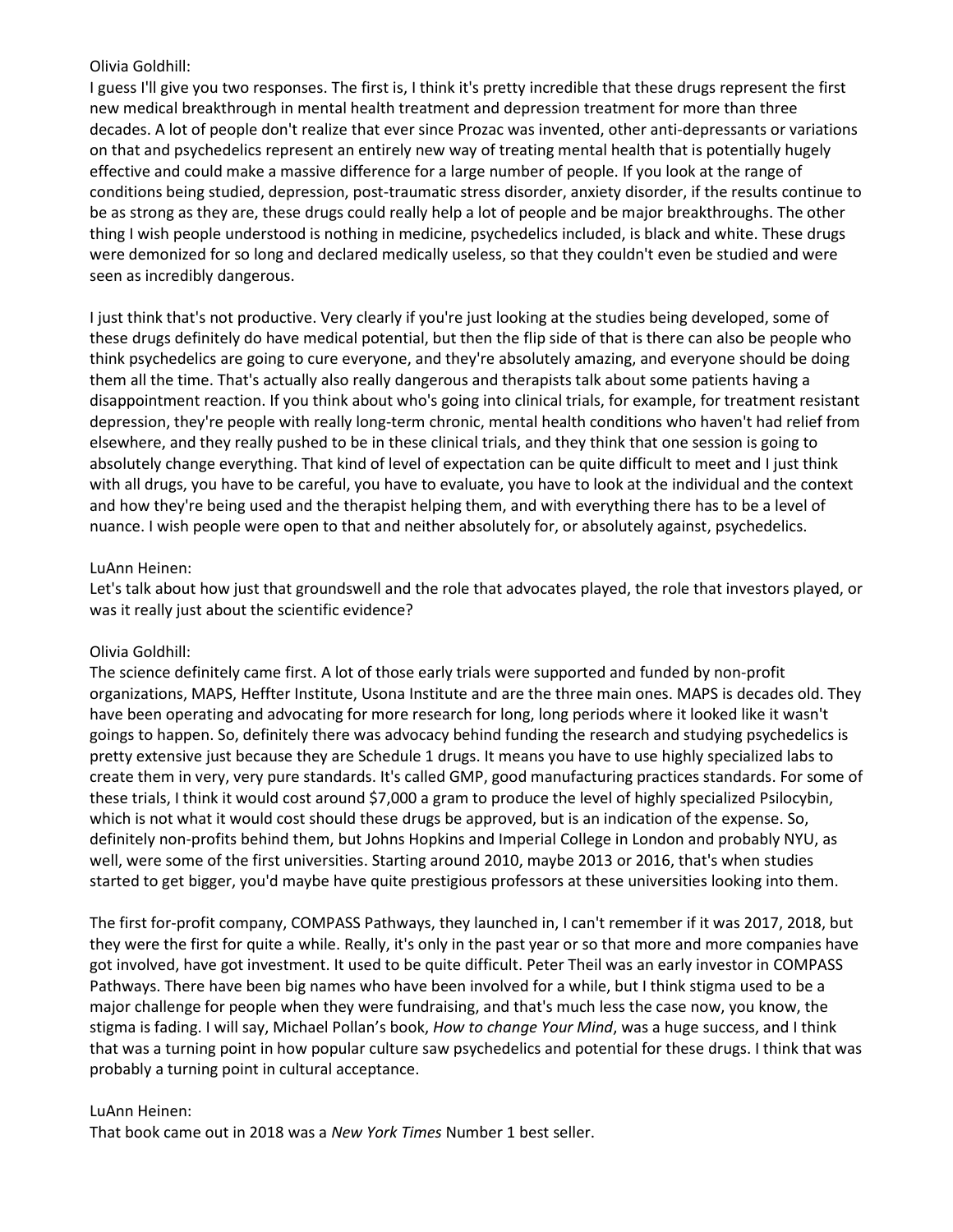## Olivia Goldhill:

I guess I'll give you two responses. The first is, I think it's pretty incredible that these drugs represent the first new medical breakthrough in mental health treatment and depression treatment for more than three decades. A lot of people don't realize that ever since Prozac was invented, other anti-depressants or variations on that and psychedelics represent an entirely new way of treating mental health that is potentially hugely effective and could make a massive difference for a large number of people. If you look at the range of conditions being studied, depression, post-traumatic stress disorder, anxiety disorder, if the results continue to be as strong as they are, these drugs could really help a lot of people and be major breakthroughs. The other thing I wish people understood is nothing in medicine, psychedelics included, is black and white. These drugs were demonized for so long and declared medically useless, so that they couldn't even be studied and were seen as incredibly dangerous.

I just think that's not productive. Very clearly if you're just looking at the studies being developed, some of these drugs definitely do have medical potential, but then the flip side of that is there can also be people who think psychedelics are going to cure everyone, and they're absolutely amazing, and everyone should be doing them all the time. That's actually also really dangerous and therapists talk about some patients having a disappointment reaction. If you think about who's going into clinical trials, for example, for treatment resistant depression, they're people with really long-term chronic, mental health conditions who haven't had relief from elsewhere, and they really pushed to be in these clinical trials, and they think that one session is going to absolutely change everything. That kind of level of expectation can be quite difficult to meet and I just think with all drugs, you have to be careful, you have to evaluate, you have to look at the individual and the context and how they're being used and the therapist helping them, and with everything there has to be a level of nuance. I wish people were open to that and neither absolutely for, or absolutely against, psychedelics.

# LuAnn Heinen:

Let's talk about how just that groundswell and the role that advocates played, the role that investors played, or was it really just about the scientific evidence?

# Olivia Goldhill:

The science definitely came first. A lot of those early trials were supported and funded by non-profit organizations, MAPS, Heffter Institute, Usona Institute and are the three main ones. MAPS is decades old. They have been operating and advocating for more research for long, long periods where it looked like it wasn't goings to happen. So, definitely there was advocacy behind funding the research and studying psychedelics is pretty extensive just because they are Schedule 1 drugs. It means you have to use highly specialized labs to create them in very, very pure standards. It's called GMP, good manufacturing practices standards. For some of these trials, I think it would cost around \$7,000 a gram to produce the level of highly specialized Psilocybin, which is not what it would cost should these drugs be approved, but is an indication of the expense. So, definitely non-profits behind them, but Johns Hopkins and Imperial College in London and probably NYU, as well, were some of the first universities. Starting around 2010, maybe 2013 or 2016, that's when studies started to get bigger, you'd maybe have quite prestigious professors at these universities looking into them.

The first for-profit company, COMPASS Pathways, they launched in, I can't remember if it was 2017, 2018, but they were the first for quite a while. Really, it's only in the past year or so that more and more companies have got involved, have got investment. It used to be quite difficult. Peter Theil was an early investor in COMPASS Pathways. There have been big names who have been involved for a while, but I think stigma used to be a major challenge for people when they were fundraising, and that's much less the case now, you know, the stigma is fading. I will say, Michael Pollan's book, *How to change Your Mind*, was a huge success, and I think that was a turning point in how popular culture saw psychedelics and potential for these drugs. I think that was probably a turning point in cultural acceptance.

### LuAnn Heinen:

That book came out in 2018 was a *New York Times* Number 1 best seller.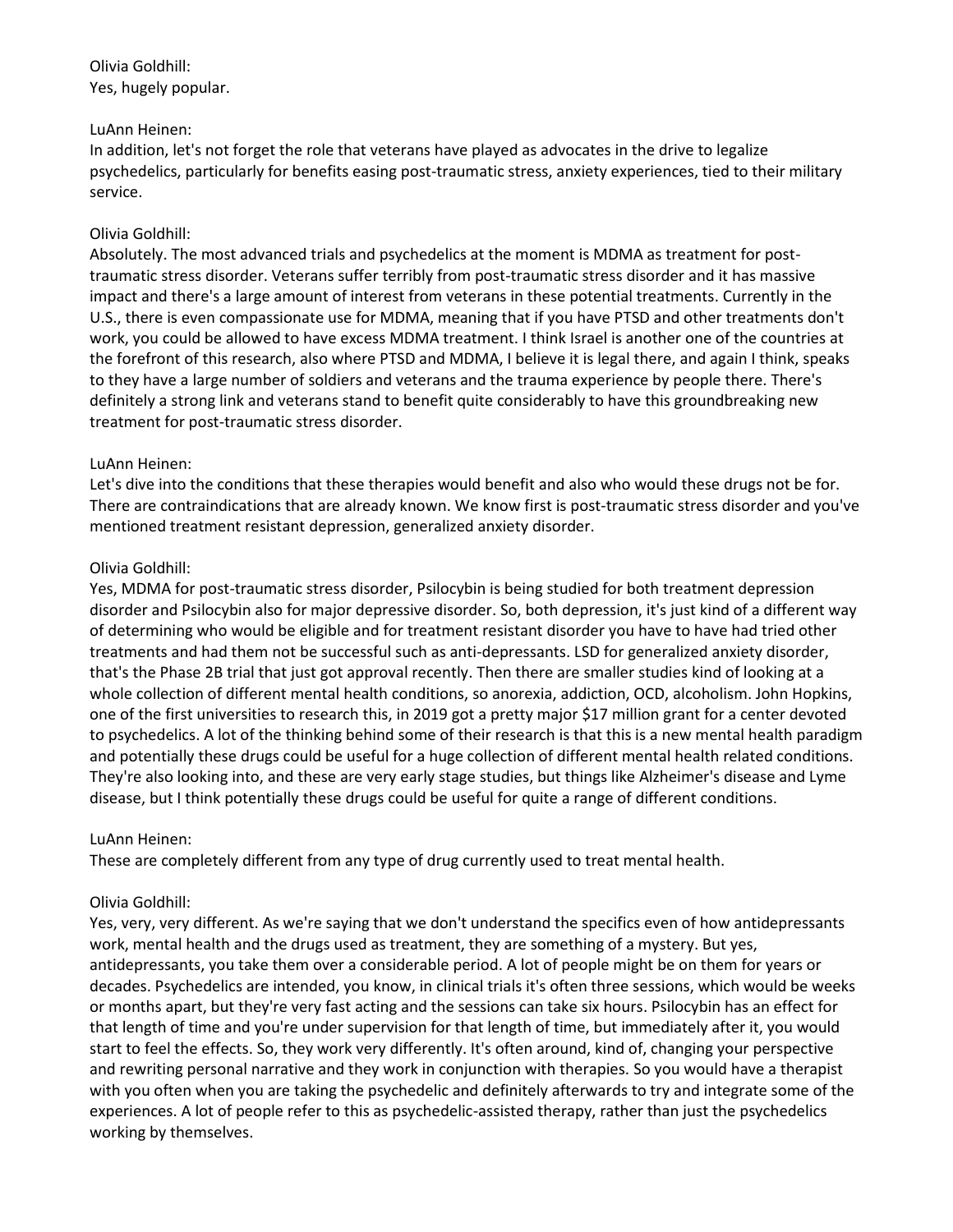Olivia Goldhill: Yes, hugely popular.

## LuAnn Heinen:

In addition, let's not forget the role that veterans have played as advocates in the drive to legalize psychedelics, particularly for benefits easing post-traumatic stress, anxiety experiences, tied to their military service.

# Olivia Goldhill:

Absolutely. The most advanced trials and psychedelics at the moment is MDMA as treatment for posttraumatic stress disorder. Veterans suffer terribly from post-traumatic stress disorder and it has massive impact and there's a large amount of interest from veterans in these potential treatments. Currently in the U.S., there is even compassionate use for MDMA, meaning that if you have PTSD and other treatments don't work, you could be allowed to have excess MDMA treatment. I think Israel is another one of the countries at the forefront of this research, also where PTSD and MDMA, I believe it is legal there, and again I think, speaks to they have a large number of soldiers and veterans and the trauma experience by people there. There's definitely a strong link and veterans stand to benefit quite considerably to have this groundbreaking new treatment for post-traumatic stress disorder.

# LuAnn Heinen:

Let's dive into the conditions that these therapies would benefit and also who would these drugs not be for. There are contraindications that are already known. We know first is post-traumatic stress disorder and you've mentioned treatment resistant depression, generalized anxiety disorder.

# Olivia Goldhill:

Yes, MDMA for post-traumatic stress disorder, Psilocybin is being studied for both treatment depression disorder and Psilocybin also for major depressive disorder. So, both depression, it's just kind of a different way of determining who would be eligible and for treatment resistant disorder you have to have had tried other treatments and had them not be successful such as anti-depressants. LSD for generalized anxiety disorder, that's the Phase 2B trial that just got approval recently. Then there are smaller studies kind of looking at a whole collection of different mental health conditions, so anorexia, addiction, OCD, alcoholism. John Hopkins, one of the first universities to research this, in 2019 got a pretty major \$17 million grant for a center devoted to psychedelics. A lot of the thinking behind some of their research is that this is a new mental health paradigm and potentially these drugs could be useful for a huge collection of different mental health related conditions. They're also looking into, and these are very early stage studies, but things like Alzheimer's disease and Lyme disease, but I think potentially these drugs could be useful for quite a range of different conditions.

### LuAnn Heinen:

These are completely different from any type of drug currently used to treat mental health.

# Olivia Goldhill:

Yes, very, very different. As we're saying that we don't understand the specifics even of how antidepressants work, mental health and the drugs used as treatment, they are something of a mystery. But yes, antidepressants, you take them over a considerable period. A lot of people might be on them for years or decades. Psychedelics are intended, you know, in clinical trials it's often three sessions, which would be weeks or months apart, but they're very fast acting and the sessions can take six hours. Psilocybin has an effect for that length of time and you're under supervision for that length of time, but immediately after it, you would start to feel the effects. So, they work very differently. It's often around, kind of, changing your perspective and rewriting personal narrative and they work in conjunction with therapies. So you would have a therapist with you often when you are taking the psychedelic and definitely afterwards to try and integrate some of the experiences. A lot of people refer to this as psychedelic-assisted therapy, rather than just the psychedelics working by themselves.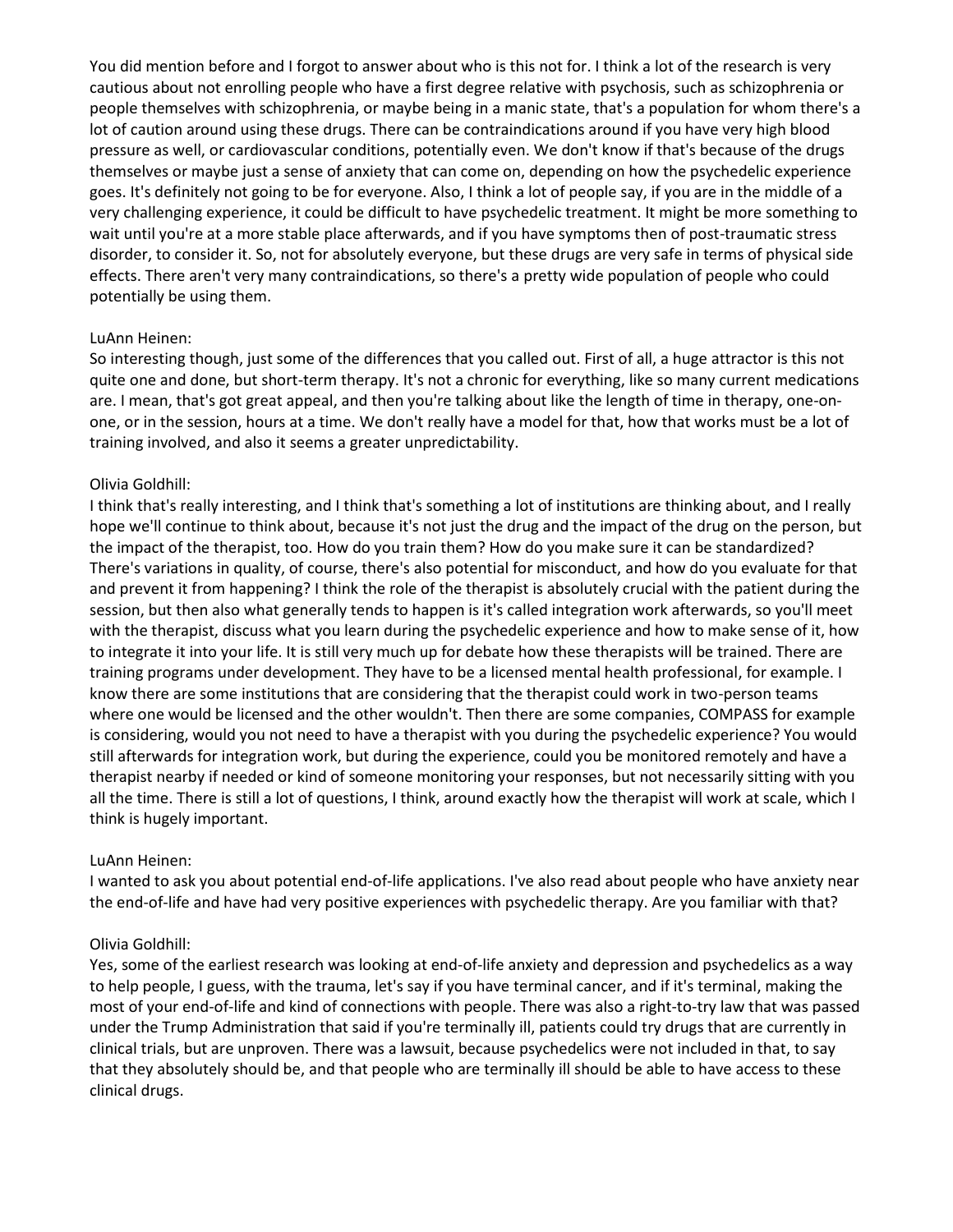You did mention before and I forgot to answer about who is this not for. I think a lot of the research is very cautious about not enrolling people who have a first degree relative with psychosis, such as schizophrenia or people themselves with schizophrenia, or maybe being in a manic state, that's a population for whom there's a lot of caution around using these drugs. There can be contraindications around if you have very high blood pressure as well, or cardiovascular conditions, potentially even. We don't know if that's because of the drugs themselves or maybe just a sense of anxiety that can come on, depending on how the psychedelic experience goes. It's definitely not going to be for everyone. Also, I think a lot of people say, if you are in the middle of a very challenging experience, it could be difficult to have psychedelic treatment. It might be more something to wait until you're at a more stable place afterwards, and if you have symptoms then of post-traumatic stress disorder, to consider it. So, not for absolutely everyone, but these drugs are very safe in terms of physical side effects. There aren't very many contraindications, so there's a pretty wide population of people who could potentially be using them.

#### LuAnn Heinen:

So interesting though, just some of the differences that you called out. First of all, a huge attractor is this not quite one and done, but short-term therapy. It's not a chronic for everything, like so many current medications are. I mean, that's got great appeal, and then you're talking about like the length of time in therapy, one-onone, or in the session, hours at a time. We don't really have a model for that, how that works must be a lot of training involved, and also it seems a greater unpredictability.

#### Olivia Goldhill:

I think that's really interesting, and I think that's something a lot of institutions are thinking about, and I really hope we'll continue to think about, because it's not just the drug and the impact of the drug on the person, but the impact of the therapist, too. How do you train them? How do you make sure it can be standardized? There's variations in quality, of course, there's also potential for misconduct, and how do you evaluate for that and prevent it from happening? I think the role of the therapist is absolutely crucial with the patient during the session, but then also what generally tends to happen is it's called integration work afterwards, so you'll meet with the therapist, discuss what you learn during the psychedelic experience and how to make sense of it, how to integrate it into your life. It is still very much up for debate how these therapists will be trained. There are training programs under development. They have to be a licensed mental health professional, for example. I know there are some institutions that are considering that the therapist could work in two-person teams where one would be licensed and the other wouldn't. Then there are some companies, COMPASS for example is considering, would you not need to have a therapist with you during the psychedelic experience? You would still afterwards for integration work, but during the experience, could you be monitored remotely and have a therapist nearby if needed or kind of someone monitoring your responses, but not necessarily sitting with you all the time. There is still a lot of questions, I think, around exactly how the therapist will work at scale, which I think is hugely important.

#### LuAnn Heinen:

I wanted to ask you about potential end-of-life applications. I've also read about people who have anxiety near the end-of-life and have had very positive experiences with psychedelic therapy. Are you familiar with that?

#### Olivia Goldhill:

Yes, some of the earliest research was looking at end-of-life anxiety and depression and psychedelics as a way to help people, I guess, with the trauma, let's say if you have terminal cancer, and if it's terminal, making the most of your end-of-life and kind of connections with people. There was also a right-to-try law that was passed under the Trump Administration that said if you're terminally ill, patients could try drugs that are currently in clinical trials, but are unproven. There was a lawsuit, because psychedelics were not included in that, to say that they absolutely should be, and that people who are terminally ill should be able to have access to these clinical drugs.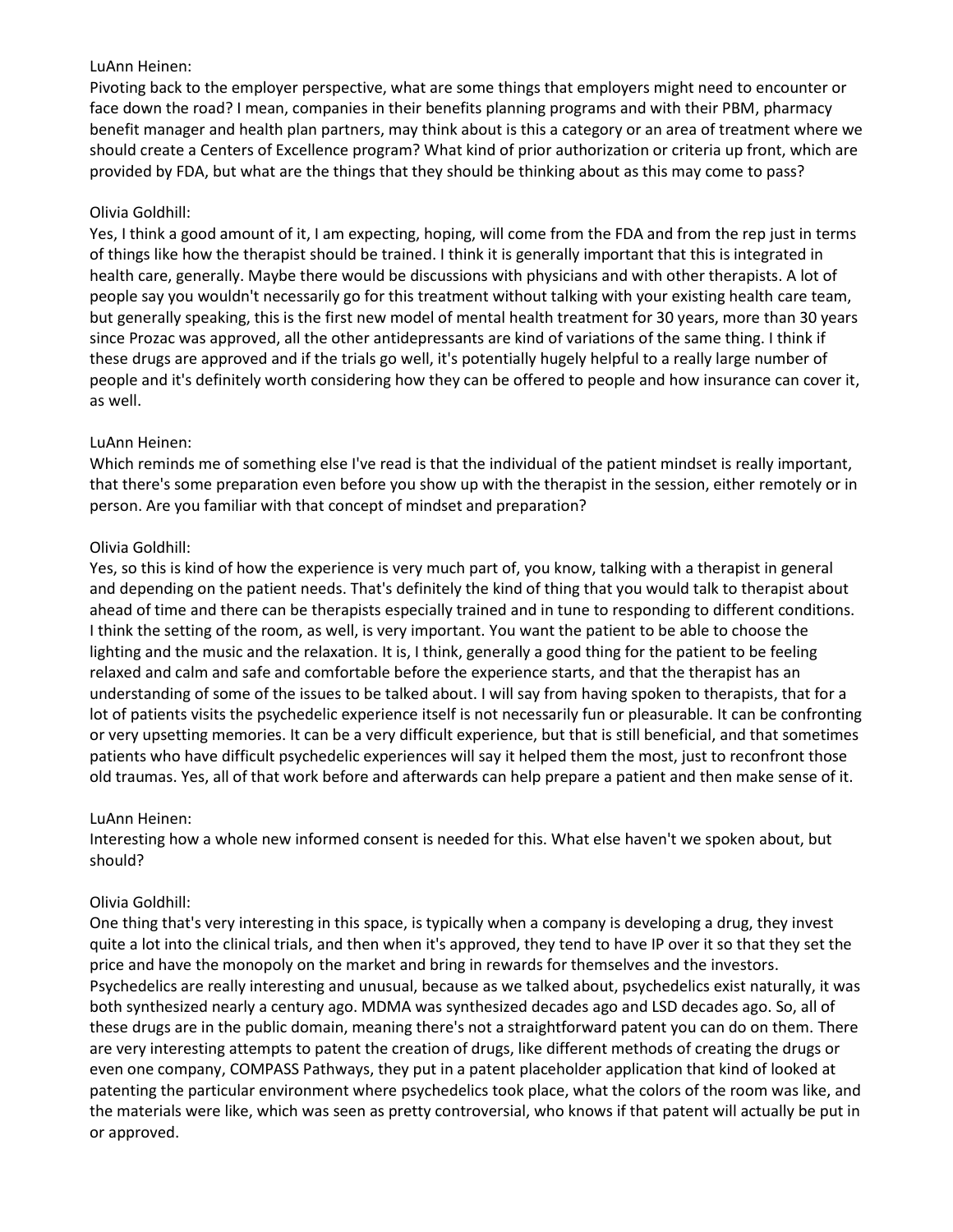## LuAnn Heinen:

Pivoting back to the employer perspective, what are some things that employers might need to encounter or face down the road? I mean, companies in their benefits planning programs and with their PBM, pharmacy benefit manager and health plan partners, may think about is this a category or an area of treatment where we should create a Centers of Excellence program? What kind of prior authorization or criteria up front, which are provided by FDA, but what are the things that they should be thinking about as this may come to pass?

# Olivia Goldhill:

Yes, I think a good amount of it, I am expecting, hoping, will come from the FDA and from the rep just in terms of things like how the therapist should be trained. I think it is generally important that this is integrated in health care, generally. Maybe there would be discussions with physicians and with other therapists. A lot of people say you wouldn't necessarily go for this treatment without talking with your existing health care team, but generally speaking, this is the first new model of mental health treatment for 30 years, more than 30 years since Prozac was approved, all the other antidepressants are kind of variations of the same thing. I think if these drugs are approved and if the trials go well, it's potentially hugely helpful to a really large number of people and it's definitely worth considering how they can be offered to people and how insurance can cover it, as well.

# LuAnn Heinen:

Which reminds me of something else I've read is that the individual of the patient mindset is really important, that there's some preparation even before you show up with the therapist in the session, either remotely or in person. Are you familiar with that concept of mindset and preparation?

# Olivia Goldhill:

Yes, so this is kind of how the experience is very much part of, you know, talking with a therapist in general and depending on the patient needs. That's definitely the kind of thing that you would talk to therapist about ahead of time and there can be therapists especially trained and in tune to responding to different conditions. I think the setting of the room, as well, is very important. You want the patient to be able to choose the lighting and the music and the relaxation. It is, I think, generally a good thing for the patient to be feeling relaxed and calm and safe and comfortable before the experience starts, and that the therapist has an understanding of some of the issues to be talked about. I will say from having spoken to therapists, that for a lot of patients visits the psychedelic experience itself is not necessarily fun or pleasurable. It can be confronting or very upsetting memories. It can be a very difficult experience, but that is still beneficial, and that sometimes patients who have difficult psychedelic experiences will say it helped them the most, just to reconfront those old traumas. Yes, all of that work before and afterwards can help prepare a patient and then make sense of it.

### LuAnn Heinen:

Interesting how a whole new informed consent is needed for this. What else haven't we spoken about, but should?

# Olivia Goldhill:

One thing that's very interesting in this space, is typically when a company is developing a drug, they invest quite a lot into the clinical trials, and then when it's approved, they tend to have IP over it so that they set the price and have the monopoly on the market and bring in rewards for themselves and the investors. Psychedelics are really interesting and unusual, because as we talked about, psychedelics exist naturally, it was both synthesized nearly a century ago. MDMA was synthesized decades ago and LSD decades ago. So, all of these drugs are in the public domain, meaning there's not a straightforward patent you can do on them. There are very interesting attempts to patent the creation of drugs, like different methods of creating the drugs or even one company, COMPASS Pathways, they put in a patent placeholder application that kind of looked at patenting the particular environment where psychedelics took place, what the colors of the room was like, and the materials were like, which was seen as pretty controversial, who knows if that patent will actually be put in or approved.